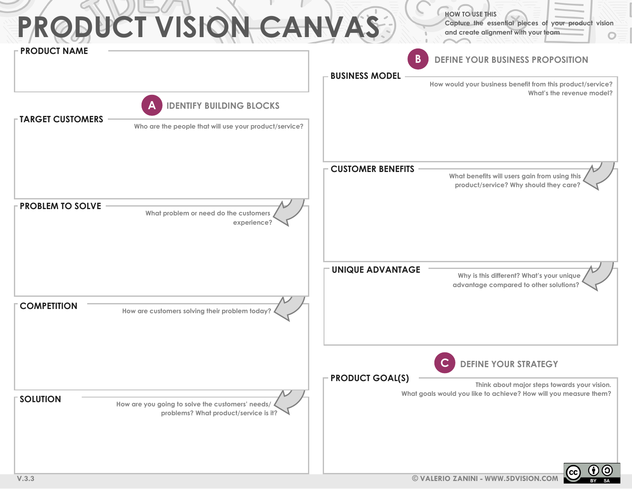